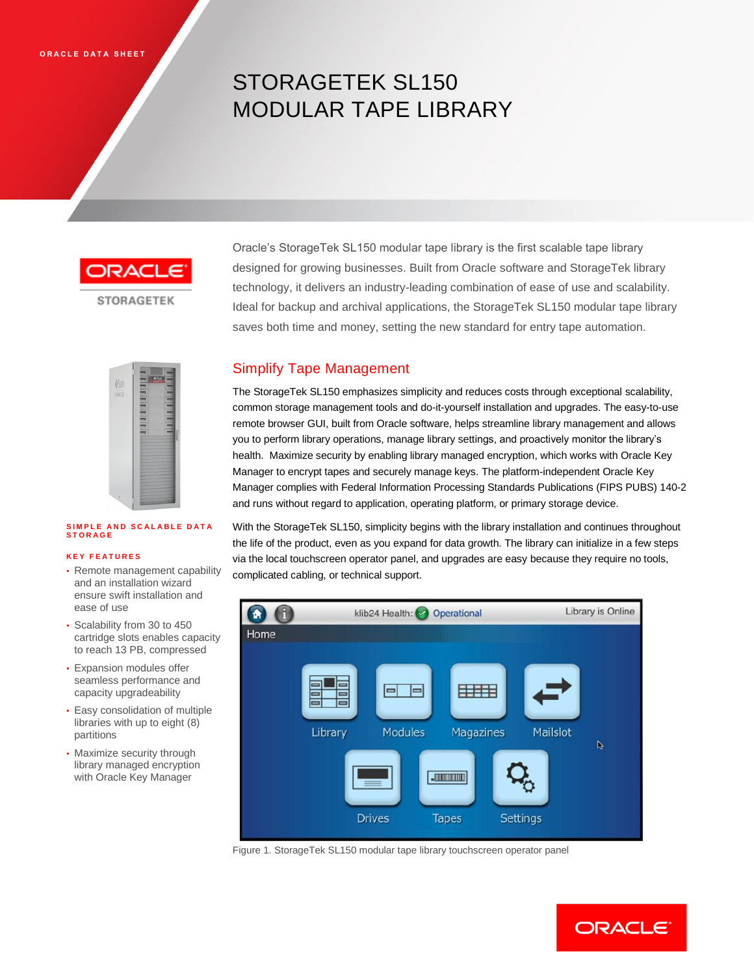# STORAGETEK SL150 MODULAR TAPE LIBRARY

**STORAGETEK** 

Oracle's StorageTek SL150 modular tape library is the first scalable tape library designed for growing businesses. Built from Oracle software and StorageTek library technology, it delivers an industry-leading combination of ease of use and scalability. Ideal for backup and archival applications, the StorageTek SL150 modular tape library saves both time and money, setting the new standard for entry tape automation.



#### **SIMPLE AND SCALABLE DATA S T O R A G E**

#### **K E Y F E A T U R E S**

- Remote management capability and an installation wizard ensure swift installation and ease of use
- Scalability from 30 to 450 cartridge slots enables capacity to reach 13 PB, compressed
- Expansion modules offer seamless performance and capacity upgradeability
- Easy consolidation of multiple libraries with up to eight (8) partitions
- Maximize security through library managed encryption with Oracle Key Manager

## Simplify Tape Management

The StorageTek SL150 emphasizes simplicity and reduces costs through exceptional scalability, common storage management tools and do-it-yourself installation and upgrades. The easy-to-use remote browser GUI, built from Oracle software, helps streamline library management and allows you to perform library operations, manage library settings, and proactively monitor the library's health. Maximize security by enabling library managed encryption, which works with Oracle Key Manager to encrypt tapes and securely manage keys. The platform-independent Oracle Key Manager complies with Federal Information Processing Standards Publications (FIPS PUBS) 140-2 and runs without regard to application, operating platform, or primary storage device.

With the StorageTek SL150, simplicity begins with the library installation and continues throughout the life of the product, even as you expand for data growth. The library can initialize in a few steps via the local touchscreen operator panel, and upgrades are easy because they require no tools, complicated cabling, or technical support.



Figure 1. StorageTek SL150 modular tape library touchscreen operator panel

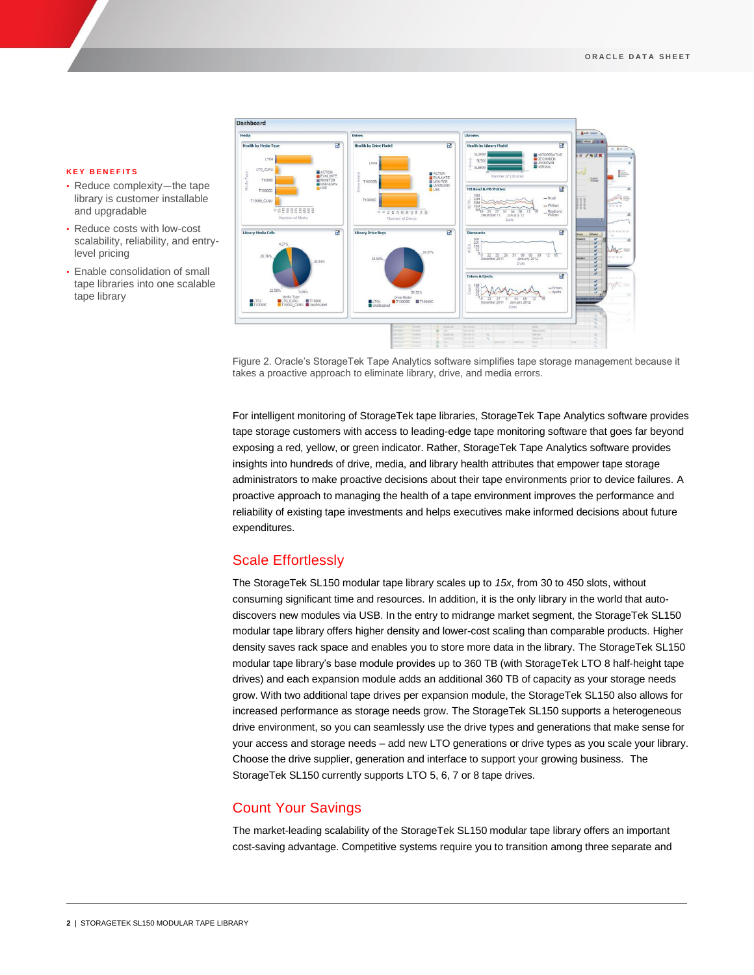#### **K E Y B E N E F I T S**

- Reduce complexity-the tape library is customer installable and upgradable
- Reduce costs with low-cost scalability, reliability, and entrylevel pricing
- Enable consolidation of small tape libraries into one scalable tape library



Figure 2. Oracle's StorageTek Tape Analytics software simplifies tape storage management because it takes a proactive approach to eliminate library, drive, and media errors.

For intelligent monitoring of StorageTek tape libraries, StorageTek Tape Analytics software provides tape storage customers with access to leading-edge tape monitoring software that goes far beyond exposing a red, yellow, or green indicator. Rather, StorageTek Tape Analytics software provides insights into hundreds of drive, media, and library health attributes that empower tape storage administrators to make proactive decisions about their tape environments prior to device failures. A proactive approach to managing the health of a tape environment improves the performance and reliability of existing tape investments and helps executives make informed decisions about future expenditures.

## Scale Effortlessly

The StorageTek SL150 modular tape library scales up to *15x*, from 30 to 450 slots, without consuming significant time and resources. In addition, it is the only library in the world that autodiscovers new modules via USB. In the entry to midrange market segment, the StorageTek SL150 modular tape library offers higher density and lower-cost scaling than comparable products. Higher density saves rack space and enables you to store more data in the library. The StorageTek SL150 modular tape library's base module provides up to 360 TB (with StorageTek LTO 8 half-height tape drives) and each expansion module adds an additional 360 TB of capacity as your storage needs grow. With two additional tape drives per expansion module, the StorageTek SL150 also allows for increased performance as storage needs grow. The StorageTek SL150 supports a heterogeneous drive environment, so you can seamlessly use the drive types and generations that make sense for your access and storage needs – add new LTO generations or drive types as you scale your library. Choose the drive supplier, generation and interface to support your growing business. The StorageTek SL150 currently supports LTO 5, 6, 7 or 8 tape drives.

## Count Your Savings

The market-leading scalability of the StorageTek SL150 modular tape library offers an important cost-saving advantage. Competitive systems require you to transition among three separate and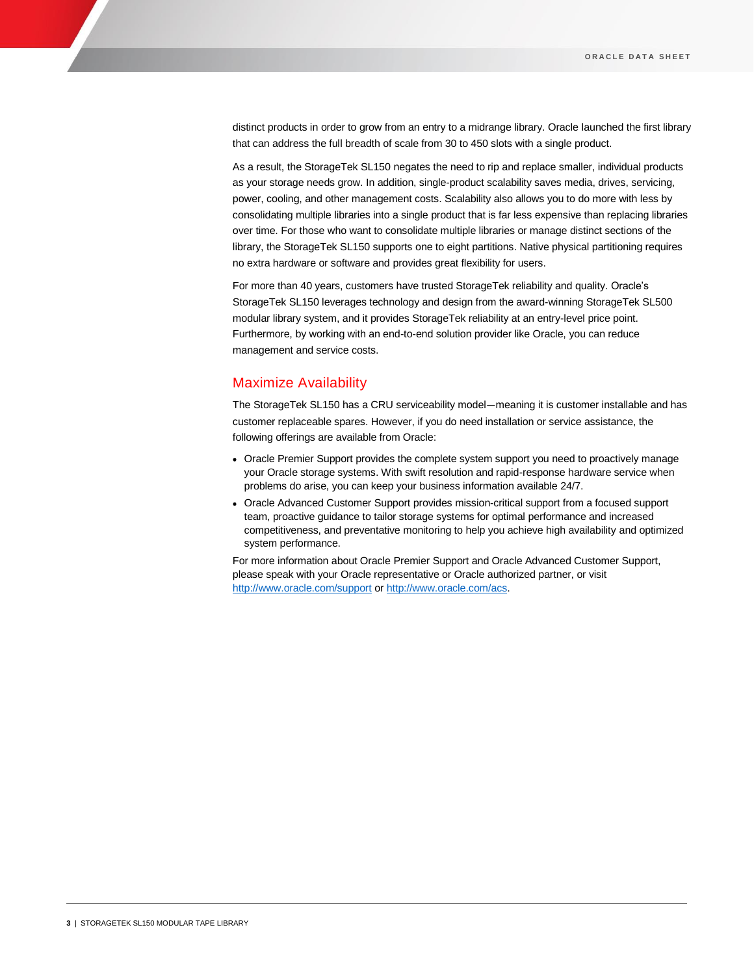distinct products in order to grow from an entry to a midrange library. Oracle launched the first library that can address the full breadth of scale from 30 to 450 slots with a single product.

As a result, the StorageTek SL150 negates the need to rip and replace smaller, individual products as your storage needs grow. In addition, single-product scalability saves media, drives, servicing, power, cooling, and other management costs. Scalability also allows you to do more with less by consolidating multiple libraries into a single product that is far less expensive than replacing libraries over time. For those who want to consolidate multiple libraries or manage distinct sections of the library, the StorageTek SL150 supports one to eight partitions. Native physical partitioning requires no extra hardware or software and provides great flexibility for users.

For more than 40 years, customers have trusted StorageTek reliability and quality. Oracle's StorageTek SL150 leverages technology and design from the award-winning StorageTek SL500 modular library system, and it provides StorageTek reliability at an entry-level price point. Furthermore, by working with an end-to-end solution provider like Oracle, you can reduce management and service costs.

## Maximize Availability

The StorageTek SL150 has a CRU serviceability model—meaning it is customer installable and has customer replaceable spares. However, if you do need installation or service assistance, the following offerings are available from Oracle:

- Oracle Premier Support provides the complete system support you need to proactively manage your Oracle storage systems. With swift resolution and rapid-response hardware service when problems do arise, you can keep your business information available 24/7.
- Oracle Advanced Customer Support provides mission-critical support from a focused support team, proactive guidance to tailor storage systems for optimal performance and increased competitiveness, and preventative monitoring to help you achieve high availability and optimized system performance.

For more information about Oracle Premier Support and Oracle Advanced Customer Support, please speak with your Oracle representative or Oracle authorized partner, or visit <http://www.oracle.com/support> or [http://www.oracle.com/acs.](http://www.oracle.com/acs)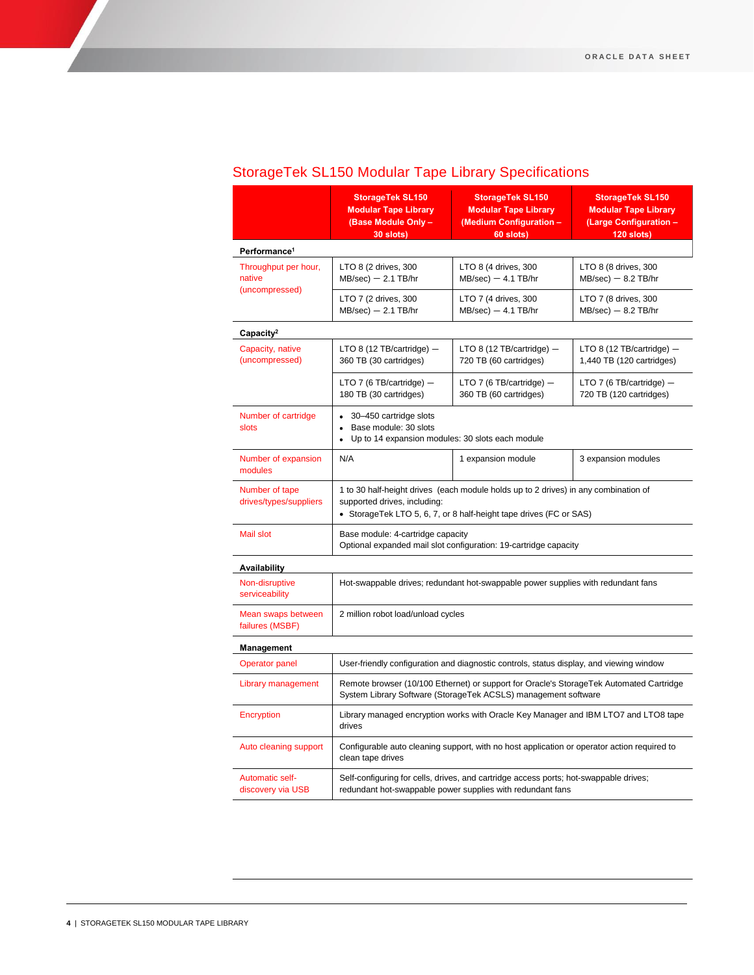## StorageTek SL150 Modular Tape Library Specifications

|                                          | <b>StorageTek SL150</b><br><b>Modular Tape Library</b><br>(Base Module Only -<br>30 slots)                                                                                                | <b>StorageTek SL150</b><br><b>Modular Tape Library</b><br>(Medium Configuration -<br>60 slots) | <b>StorageTek SL150</b><br><b>Modular Tape Library</b><br>(Large Configuration -<br>120 slots) |  |
|------------------------------------------|-------------------------------------------------------------------------------------------------------------------------------------------------------------------------------------------|------------------------------------------------------------------------------------------------|------------------------------------------------------------------------------------------------|--|
| Performance <sup>1</sup>                 |                                                                                                                                                                                           |                                                                                                |                                                                                                |  |
| Throughput per hour,<br>native           | LTO 8 (2 drives, 300<br>$MB/sec$ ) $-$ 2.1 TB/hr                                                                                                                                          | LTO 8 (4 drives, 300<br>$MB/sec$ ) $-4.1$ TB/hr                                                | LTO 8 (8 drives, 300<br>$MB/sec$ ) $- 8.2$ TB/hr                                               |  |
| (uncompressed)                           | LTO 7 (2 drives, 300<br>$MB/sec$ ) $-$ 2.1 TB/hr                                                                                                                                          | LTO 7 (4 drives, 300<br>$MB/sec$ ) $-$ 4.1 TB/hr                                               | LTO 7 (8 drives, 300<br>$MB/sec$ ) $- 8.2$ TB/hr                                               |  |
| Capacity <sup>2</sup>                    |                                                                                                                                                                                           |                                                                                                |                                                                                                |  |
| Capacity, native<br>(uncompressed)       | LTO 8 (12 TB/cartridge) $-$<br>360 TB (30 cartridges)                                                                                                                                     | LTO 8 (12 TB/cartridge) $-$<br>720 TB (60 cartridges)                                          | LTO 8 (12 TB/cartridge) $-$<br>1,440 TB (120 cartridges)                                       |  |
|                                          | LTO 7 (6 TB/cartridge) $-$<br>180 TB (30 cartridges)                                                                                                                                      | LTO 7 (6 TB/cartridge) $-$<br>360 TB (60 cartridges)                                           | LTO 7 (6 TB/cartridge) $-$<br>720 TB (120 cartridges)                                          |  |
| Number of cartridge<br>slots             | 30-450 cartridge slots<br>$\bullet$<br>Base module: 30 slots<br>Up to 14 expansion modules: 30 slots each module<br>$\bullet$                                                             |                                                                                                |                                                                                                |  |
| Number of expansion<br>modules           | N/A                                                                                                                                                                                       | 1 expansion module                                                                             | 3 expansion modules                                                                            |  |
| Number of tape<br>drives/types/suppliers | 1 to 30 half-height drives (each module holds up to 2 drives) in any combination of<br>supported drives, including:<br>• StorageTek LTO 5, 6, 7, or 8 half-height tape drives (FC or SAS) |                                                                                                |                                                                                                |  |
| Mail slot                                | Base module: 4-cartridge capacity<br>Optional expanded mail slot configuration: 19-cartridge capacity                                                                                     |                                                                                                |                                                                                                |  |
| Availability                             |                                                                                                                                                                                           |                                                                                                |                                                                                                |  |
| Non-disruptive<br>serviceability         | Hot-swappable drives; redundant hot-swappable power supplies with redundant fans                                                                                                          |                                                                                                |                                                                                                |  |
| Mean swaps between<br>failures (MSBF)    | 2 million robot load/unload cycles                                                                                                                                                        |                                                                                                |                                                                                                |  |
| Management                               |                                                                                                                                                                                           |                                                                                                |                                                                                                |  |
| <b>Operator panel</b>                    | User-friendly configuration and diagnostic controls, status display, and viewing window                                                                                                   |                                                                                                |                                                                                                |  |
| Library management                       | Remote browser (10/100 Ethernet) or support for Oracle's StorageTek Automated Cartridge<br>System Library Software (StorageTek ACSLS) management software                                 |                                                                                                |                                                                                                |  |
| Encryption                               | Library managed encryption works with Oracle Key Manager and IBM LTO7 and LTO8 tape<br>drives                                                                                             |                                                                                                |                                                                                                |  |
| Auto cleaning support                    | Configurable auto cleaning support, with no host application or operator action required to<br>clean tape drives                                                                          |                                                                                                |                                                                                                |  |
| Automatic self-<br>discovery via USB     | Self-configuring for cells, drives, and cartridge access ports; hot-swappable drives;<br>redundant hot-swappable power supplies with redundant fans                                       |                                                                                                |                                                                                                |  |